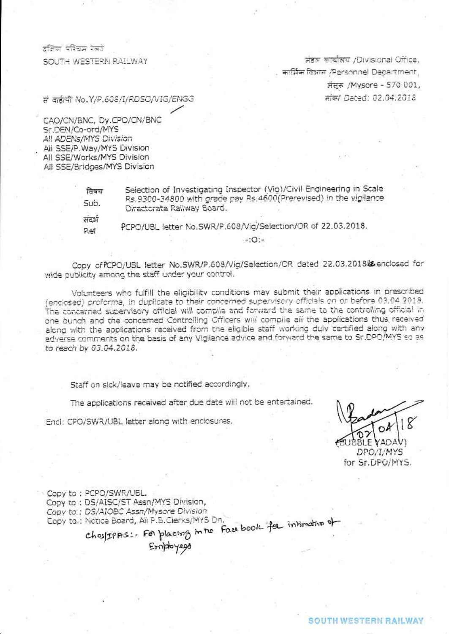ਨਗਿੰਗ ਧਾਇੰਗਲ ਵਿਖੇ

SOUTH WESTERN RAILWAY

मंडल कार्यालय /Divisional Office, कार्मिक विभाग /Personnel Department. ਸੌਸ਼ਨ /Mysore - 570 001, mim/ Dated: 02.04.2018

सं वाई/पी No.Y/P.608/I/RDSO/VIG/ENGG

CAO/CN/BNC, Dv.CPO/CN/BNC Sr.DEN/Co-ord/MYS All ADENs/MYS Division All SSE/P. Way/MYS Division All SSE/Works/MYS Division All SSE/Bridges/MYS Division

| विषय   | Selection of Investigating Inspector (Vig)/Civil Engineering in Scale |  |  |  |
|--------|-----------------------------------------------------------------------|--|--|--|
| Sub.   | Rs. 9300-34800 with grade pay Rs. 4600(Prerevised) in the vigilance   |  |  |  |
|        | Directorate Railway Board.                                            |  |  |  |
| संदर्भ |                                                                       |  |  |  |
| Ref    | PCPO/UBL letter No.SWR/P.608/Vig/Selection/OR of 22.03.2018.          |  |  |  |
|        | $-10 -$                                                               |  |  |  |

Copy of PCPO/UBL letter No.SWR/P.608/Vig/Selection/OR dated 22.03.2018& enclosed for wide publicity among the staff under your control.

Volunteers who fulfill the eligibility conditions may submit their applications in prescribed (enclosed) proforma, in duplicate to their concerned supervisory officials on or before 03,04.2018. The concerned supervisory official will compile and forward the same to the controlling official in one bunch and the concerned Controlling Officers will compile all the applications thus received along with the applications received from the eligible staff working duly certified along with any adverse comments on the basis of any Vigilance advice and forward the same to Sr.DPO/MYS so as to reach by 03.04.2018.

Staff on sick/leave may be notified accordingly.

The applications received after due date will not be entertained.

Encl: CPO/SWR/UBL letter along with enclosures.

DPO/I/MYS for Sr.DPO/MYS.

Copy to: PCPO/SWR/UBL. Copy to: DS/AISC/ST Assn/MYS Division, Capy to: : DS/AIOBC Assn/Mysore Division Copy to .: Notice Board, All P.B. Clerks/MYS Dn.

chos/IPAS: For placing in the Facebook for intimative of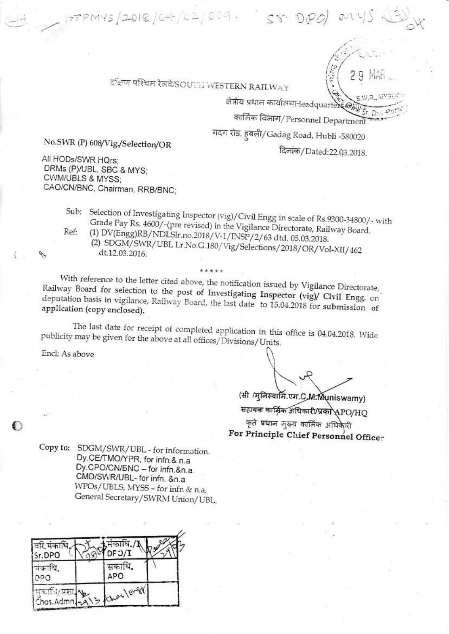# $\varepsilon$ दिण पश्चिम रेलवे/SOU $\mathbb{H}$  WESTERN RAILWAY

 $177$  PMYS/2018/04/02/004. ST DPO MYS

क्षेत्रीय प्रधान कार्यालयHeadquarte

कार्मिक विभाग/Personnel Department

गदन रोड, ह्बली/Gadag Road, Hubli -580020

No.SWR (P) 608/Vig./Selection/OR

दिनांक/Dated:22.03.2018.

29

All HODs/SWR HQrs; DRMs (P)/UBL, SBC & MYS; CWM/UBLS & MYSS; CAO/CN/BNC, Chairman, RRB/BNC;

> Selection of Investigating Inspector (vig)/Civil Engg in scale of Rs.9300-34800/- with Sub: Grade Pay Rs. 4600/-(pre revised) in the Vigilance Directorate, Railway Board. (1) DV(Engg)RB/NDLSlr.no.2018/V-1/INSP/2/63 dtd. 05.03.2018. Ref: (2) SDGM/SWR/UBL Lr.No.G.180/Vig/Selections/2018/OR/Vol-XII/462 dt.12.03.2016.

With reference to the letter cited above, the notification issued by Vigilance Directorate, Railway Board for selection to the post of Investigating Inspector (vig)/ Civil Engg. on deputation basis in vigilance, Railway Board, the last date to 15.04.2018 for submission of application (copy enclosed).

The last date for receipt of completed application in this office is 04.04.2018. Wide publicity may be given for the above at all offices/Divisions/Units.

Encl: As above

ď,

(सी /मनिस्वार्मि.एम.C.M.Muniswamy) सहायक कार्मिक अधिकारी/प्रका\APO/HQ कृते प्रधान मुख्य कार्मिक अधिकेरी For Principle Chief Personnel Officer

Copy to: SDGM/SWR/UBL - for information. Dy.CE/TMO/YPR, for infn.& n.a Dy.CPO/CN/BNC - for infn.&n.a. CMD/SWR/UBL- for infn. &n.a WPOs/UBLS, MYSS - for infn & n.a. General Secretary/SWRM Union/UBL,

| वरि मंकार्गि<br>Sr.DPO    | .संकाधि./ <b>1</b><br>DFO/I |  |
|---------------------------|-----------------------------|--|
| पंकाधि.<br>0PO            | सकाधि<br>APO                |  |
| नकाधि/प्रशा<br>Chos.Admn. | Iches/Engy                  |  |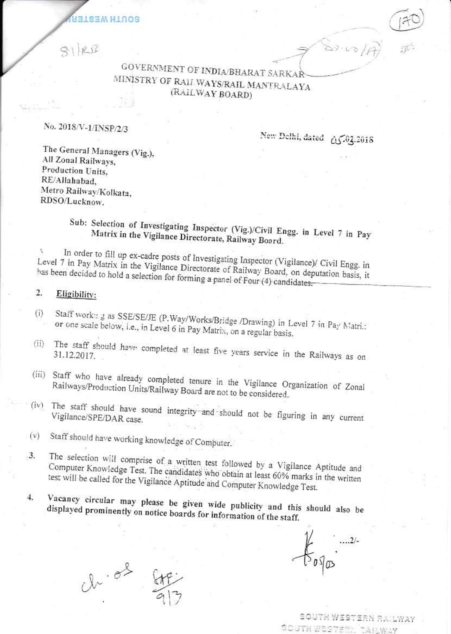**BORIN MESIEE** 

### GOVERNMENT OF INDIA/BHARAT SARKAR MINISTRY OF RAIL WAYS/RAIL MANTRALAYA (RAILWAY BOARD)

No. 2018/V-1/INSP/2/3

 $31)85$ 

New Delhi, dated  $0.503.2018$ 

 $\frac{2}{2}$ 2.00/ $\frac{1}{2}$ 

The General Managers (Vig.), All Zonal Railways, Production Units. RE/Allahabad, Metro Railway/Kolkata, RDSO/Lucknow.

## Sub: Selection of Investigating Inspector (Vig.)/Civil Engg. in Level 7 in Pay Matrix in the Vigilance Directorate, Railway Board.

In order to fill up ex-cadre posts of Investigating Inspector (Vigilance)/ Civil Engg. in Level 7 in Pay Matrix in the Vigilance Directorate of Railway Board, on deputation basis, it has been decided to hold a selection for forming a panel of Four (4) candidates-

 $\overline{2}$ . Eligibility:

- Staff work: g as SSE/SE/JE (P.Way/Works/Bridge /Drawing) in Level 7 in Pay Matri.:  $(i)$ or one scale below, i.e., in Level 6 in Pay Matrix, on a regular basis.
- The staff should have completed at least five years service in the Railways as on (ii)
- Staff who have already completed tenure in the Vigilance Organization of Zonal  $(iii)$ Railways/Production Units/Railway Board are not to be considered.
- The staff should have sound integrity and should not be figuring in any current  $(iv)$
- Staff should have working knowledge of Computer.  $(v)$
- The selection will comprise of a written test followed by a Vigilance Aptitude and  $\cdot$ 3. Computer Knowledge Test. The candidates who obtain at least 60% marks in the written test will be called for the Vigilance Aptitude and Computer Knowledge Test.
- 4. Vacancy circular may please be given wide publicity and this should also be displayed prominently on notice boards for information of the staff.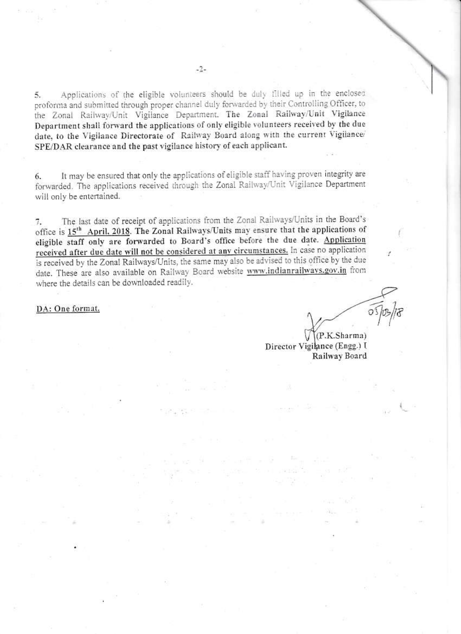Applications of the eligible volunteers should be duly filled up in the enclosed 5. proforma and submitted through proper channel duly forwarded by their Controlling Officer, to the Zonal Railway/Unit Vigilance Department. The Zonal Railway/Unit Vigilance Department shall forward the applications of only eligible volunteers received by the due date, to the Vigilance Directorate of Railway Board along with the current Vigilance/ SPE/DAR clearance and the past vigilance history of each applicant.

It may be ensured that only the applications of eligible staff having proven integrity are 6. forwarded. The applications received through the Zonal Railway/Unit Vigilance Department will only be entertained.

The last date of receipt of applications from the Zonal Railways/Units in the Board's  $7.$ office is 15<sup>th</sup> April, 2018. The Zonal Railways/Units may ensure that the applications of eligible staff only are forwarded to Board's office before the due date. Application received after due date will not be considered at any circumstances. In case no application is received by the Zonal Railways/Units, the same may also be advised to this office by the due date. These are also available on Railway Board website www.indianrailways.gov.in from where the details can be downloaded readily.

DA: One format.

(P.K.Sharma) Director Vigilance (Engg.) I Railway Board